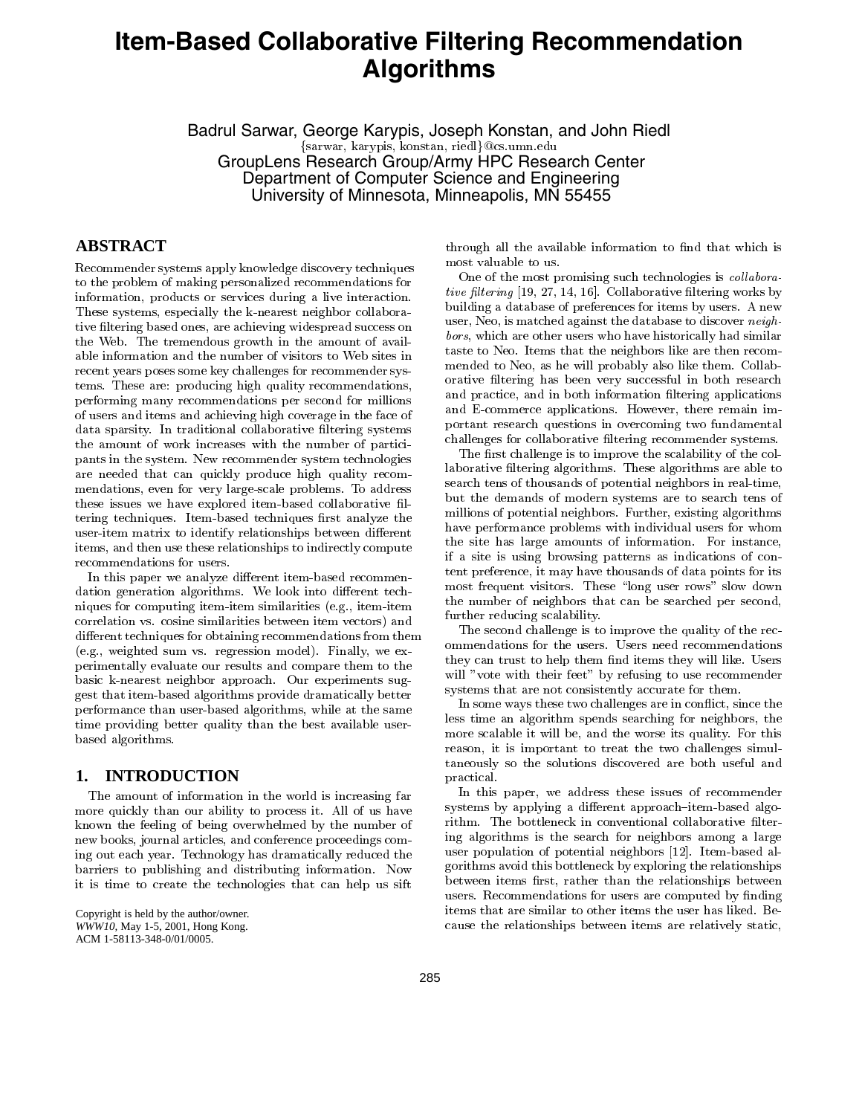# **Item-Based Collaborative Filtering Recommendation Algorithms**

Badrul Sarwar, George Karypis, Joseph Konstan, and John Riedl fsarwar, karypis, konstan, riedlg@cs.umn.edu GroupLens Research Group/Army HPC Research Center Department of Computer Science and Engineering University of Minnesota, Minneapolis, MN 55455

# **ABSTRACT**

Recommender systems apply knowledge discovery techniques to the problem of making personalized recommendations for information, products or services during a live interaction. These systems, especially the k-nearest neighbor collaborative filtering based ones, are achieving widespread success on the Web. The tremendous growth in the amount of available information and the number of visitors to Web sites in recent years poses some key challenges for recommender systems. These are: producing high quality recommendations, performing many recommendations per second for millions of users and items and achieving high coverage in the face of data sparsity. In traditional collaborative filtering systems the amount of work increases with the number of participants in the system. New recommender system technologies are needed that can quickly produce high quality recom mendations, even for very large-scale problems. To address these issues we have explored item-based collaborative filtering techniques. Item-based techniques first analyze the user-item matrix to identify relationships between different items, and then use these relationships to indirectly compute recommendations for users.

In this paper we analyze different item-based recommendation generation algorithms. We look into different techniques for computing item-item similarities (e.g., item-item correlation vs. cosine similarities between item vectors) and different techniques for obtaining recommendations from them (e.g., weighted sum vs. regression model). Finally, we ex perimentally evaluate our results and compare them to the basic k-nearest neighbor approach. Our experiments suggest that item-based algorithms provide dramatically better performance than user-based algorithms, while at the same time providing better quality than the best available userbased algorithms.

# **1. INTRODUCTION**

The amount of information in the world is increasing far more quickly than our ability to process it. All of us have known the feeling of being overwhelmed by the number of new books, journal articles, and conference proceedings coming out each year. Technology has dramatically reduced the barriers to publishing and distributing information. Now it is time to create the technologies that can help us sift

Copyright is held by the author/owner. *WWW10,* May 1-5, 2001, Hong Kong. ACM 1-58113-348-0/01/0005.

through all the available information to find that which is most valuable to us.

One of the most promising such technologies is *collabora*tive filtering  $[19, 27, 14, 16]$ . Collaborative filtering works by building a database of preferences for items by users. A new user, Neo, is matched against the database to discover neighbors, which are other users who have historically had similar taste to Neo. Items that the neighbors like are then recommended to Neo, as he will probably also like them. Collaborative ltering has been very successful in both research and practice, and in both information filtering applications and E-commerce applications. However, there remain important research questions in overcoming two fundamental challenges for collaborative filtering recommender systems.

The first challenge is to improve the scalability of the collaborative filtering algorithms. These algorithms are able to search tens of thousands of potential neighbors in real-time, but the demands of modern systems are to search tens of millions of potential neighbors. Further, existing algorithms have performance problems with individual users for whom the site has large amounts of information. For instance, if a site is using browsing patterns as indications of con tent preference, it may have thousands of data points for its most frequent visitors. These "long user rows" slow down the number of neighbors that can be searched per second, further reducing scalability.

The second challenge is to improve the quality of the recommendations for the users. Users need recommendations they can trust to help them find items they will like. Users will "vote with their feet" by refusing to use recommender systems that are not consistently accurate for them.

In some ways these two challenges are in con
ict, since the less time an algorithm spends searching for neighbors, the more scalable it will be, and the worse its quality. For this reason, it is important to treat the two challenges simultaneously so the solutions discovered are both useful and practical.

In this paper, we address these issues of recommender systems by applying a different approach-item-based algorithm. The bottleneck in conventional collaborative filtering algorithms is the search for neighbors among a large user population of potential neighbors [12]. Item-based algorithms avoid this bottleneck by exploring the relationships between items first, rather than the relationships between users. Recommendations for users are computed by finding items that are similar to other items the user has liked. Because the relationships between items are relatively static,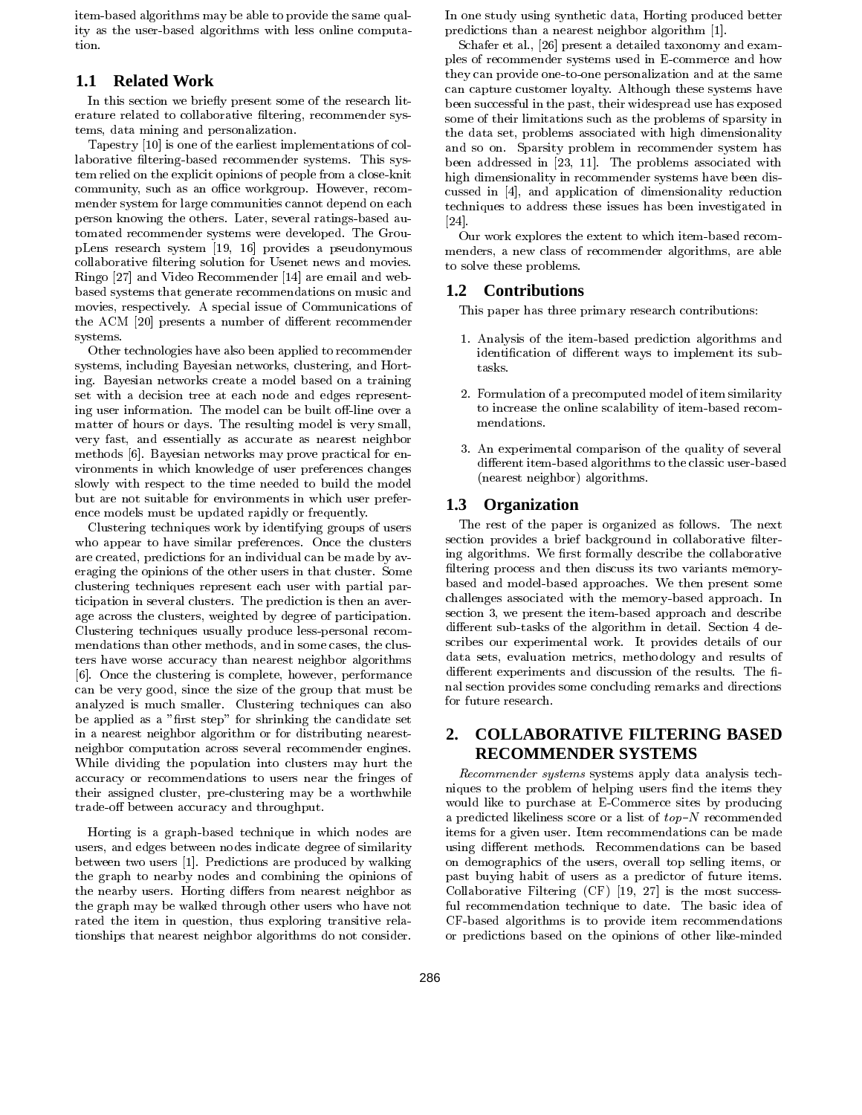item-based algorithms may be able to provide the same quality as the user-based algorithms with less online computation.

# **1.1 Related Work**

In this section we briefly present some of the research literature related to collaborative filtering, recommender systems, data mining and personalization.

Tapestry [10] is one of the earliest implementations of collaborative filtering-based recommender systems. This system relied on the explicit opinions of people from a close-knit community, such as an office workgroup. However, recommender system for large communities cannot depend on each person knowing the others. Later, several ratings-based automated recommender systems were developed. The GroupLens research system [19, 16] provides a pseudonymous collaborative filtering solution for Usenet news and movies. Ringo [27] and Video Recommender [14] are email and webbased systems that generate recommendations on music and movies, respectively. A special issue of Communications of the ACM [20] presents a number of different recommender systems.

Other technologies have also been applied to recommender systems, including Bayesian networks, clustering, and Horting. Bayesian networks create a model based on a training set with a decision tree at each node and edges representing user information. The model can be built off-line over a matter of hours or days. The resulting model is very small, very fast, and essentially as accurate as nearest neighbor methods [6]. Bayesian networks may prove practical for environments in which knowledge of user preferences changes slowly with respect to the time needed to build the model but are not suitable for environments in which user preference models must be updated rapidly or frequently.

Clustering techniques work by identifying groups of users who appear to have similar preferences. Once the clusters are created, predictions for an individual can be made by av eraging the opinions of the other users in that cluster. Some clustering techniques represent each user with partial participation in several clusters. The prediction is then an aver age across the clusters, weighted by degree of participation. Clustering techniques usually produce less-personal recommendations than other methods, and in some cases, the clusters have worse accuracy than nearest neighbor algorithms [6]. Once the clustering is complete, however, performance can be very good, since the size of the group that must be analyzed is much smaller. Clustering techniques can also be applied as a "first step" for shrinking the candidate set in a nearest neighbor algorithm or for distributing nearestneighbor computation across several recommender engines. While dividing the population into clusters may hurt the accuracy or recommendations to users near the fringes of their assigned cluster, pre-clustering may be a worthwhile trade-off between accuracy and throughput.

Horting is a graph-based technique in which nodes are users, and edges between nodes indicate degree of similarity between two users [1]. Predictions are produced by walking the graph to nearby nodes and combining the opinions of the nearby users. Horting differs from nearest neighbor as the graph may be walked through other users who have not rated the item in question, thus exploring transitive relationships that nearest neighbor algorithms do not consider.

In one study using synthetic data, Horting produced better predictions than a nearest neighbor algorithm [1].

Schafer et al., [26] present a detailed taxonomy and examples of recommender systems used in E-commerce and how they can provide one-to-one personalization and at the same can capture customer loyalty. Although these systems have been successful in the past, their widespread use has exposed some of their limitations such as the problems of sparsity in the data set, problems associated with high dimensionality and so on. Sparsity problem in recommender system has been addressed in [23, 11]. The problems associated with high dimensionality in recommender systems have been discussed in [4], and application of dimensionality reduction techniques to address these issues has been investigated in  $\sim$   $\sim$   $\sim$   $\sim$   $\sim$   $\sim$ 

Our work explores the extent to which item-based recommenders, a new class of recommender algorithms, are able to solve these problems.

# **1.2 Contributions**

This paper has three primary research contributions:

- 1. Analysis of the item-based prediction algorithms and identification of different ways to implement its subtasks.
- 2. Formulation of a precomputed model of item similarity to increase the online scalability of item-based recommendations.
- 3. An experimental comparison of the quality of several different item-based algorithms to the classic user-based (nearest neighbor) algorithms.

# **1.3 Organization**

The rest of the paper is organized as follows. The next section provides a brief background in collaborative filtering algorithms. We first formally describe the collaborative filtering process and then discuss its two variants memorybased and model-based approaches. We then present some challenges associated with the memory-based approach. In section 3, we present the item-based approach and describe different sub-tasks of the algorithm in detail. Section 4 describes our experimental work. It provides details of our data sets, evaluation metrics, methodology and results of different experiments and discussion of the results. The final section provides some concluding remarks and directions for future research.

# **2. COLLABORATIVE FILTERING BASED RECOMMENDER SYSTEMS**

Recommender systems systems apply data analysis techniques to the problem of helping users find the items they would like to purchase at E-Commerce sites by producing a predicted likeliness score or a list of  $top-N$  recommended items for a given user. Item recommendations can be made using different methods. Recommendations can be based on demographics of the users, overall top selling items, or past buying habit of users as a predictor of future items. Collaborative Filtering (CF) [19, 27] is the most successful recommendation technique to date. The basic idea of CF-based algorithms is to provide item recommendations or predictions based on the opinions of other like-minded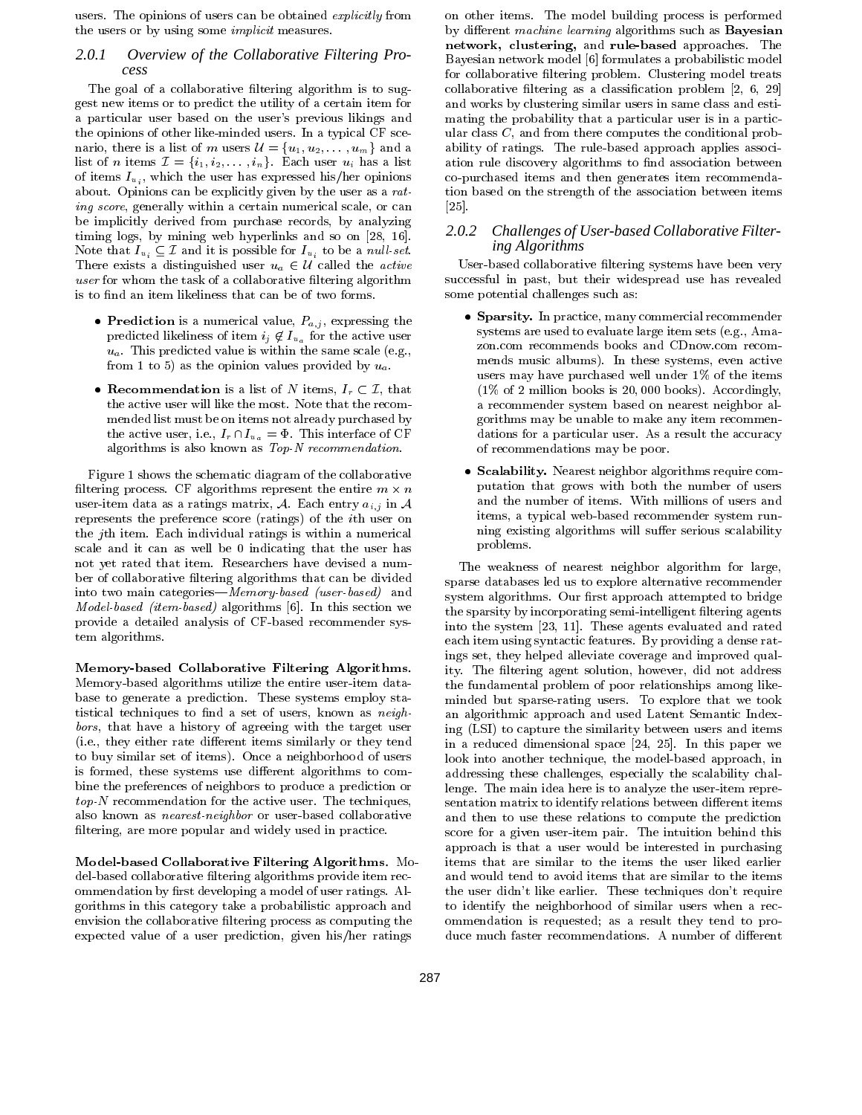users. The opinions of users can be obtained explicitly from the users or by using some implicit measures.

#### *2.0.1 Overview of the Collaborative Filtering Process*

The goal of a collaborative filtering algorithm is to suggest new items or to predict the utility of a certain item for a particular user based on the user's previous likings and the opinions of other like-minded users. In a typical CF scenario, there is a list of m users  $\mathcal{U} = \{u_1, u_2, \ldots, u_m\}$  and a list of *n* items  $\mathcal{I} = \{i_1, i_2, \ldots, i_n\}$ . Each user  $u_i$  has a list , which the user  $\alpha_{ij}$  which the user the user the pressed his/here  $\alpha_{ij}$  and  $\alpha_{ij}$ about. Opinions can be explicitly given by the user as a rating score, generally within a certain numerical scale, or can be implicitly derived from purchase records, by analyzing  $2.0.2$ <br>timing loss, by mining wob by perlinks and so on [28, 16]  $2.0.2$ timing logs, by mining web hyperlinks and so on [28, 16]. Note that  $I_{u_i} \subseteq \mathcal{I}$  and it is possible for  $I_{u_i}$  to be a null-set. There exists a distinguished user  $u_a \in \mathcal{U}$  called the *active* user for whom the task of a collaborative filtering algorithm is to find an item likeliness that can be of two forms.

- Prediction is a numerical value,  $P_{a,j}$ , expressing the predicted likeliness of item  $i_j \notin I_{u_a}$  for the active user  $u_a$ . This predicted value is within the same scale (e.g., from 1 to 5) as the opinion values provided by  $u_a$ .
- Recommendation is a list of N items,  $I_r \subset \mathcal{I}$ , that the active user will like the most. Note that the recommended list must be on items not already purchased by the active user, i.e.,  $I_r \cap I_{u_a} = \Phi$ . This interface of CF algorithms is also known as Top-N recommendation.

Figure 1 shows the schematic diagram of the collaborative ltering process. CF algorithms represent the entire m - n user-item data as a ratings matrix, A. Each entry  $a_{i,j}$  in A represents the preference score (ratings) of the ith user on the jth item. Each individual ratings is within a numerical scale and it can as well be 0 indicating that the user has not yet rated that item. Researchers have devised a num ber of collaborative filtering algorithms that can be divided into two main categories—Memory-based (user-based) and Model-based (item-based) algorithms [6]. In this section we provide a detailed analysis of CF-based recommender system algorithms.

Memory-based Collaborative Filtering Algorithms*.* Memory-based algorithms utilize the entire user-item database to generate a prediction. These systems employ statistical techniques to find a set of users, known as neighbors, that have a history of agreeing with the target user (i.e., they either rate different items similarly or they tend to buy similar set of items). Once a neighborhood of users is formed, these systems use different algorithms to combine the preferences of neighbors to produce a prediction or top-N recommendation for the active user. The techniques, also known as nearest-neighbor or user-based collaborative filtering, are more popular and widely used in practice.

Model-based Collaborative Filtering Algorithms*.* Model-based collaborative filtering algorithms provide item recommendation by first developing a model of user ratings. Algorithms in this category take a probabilistic approach and envision the collaborative filtering process as computing the expected value of a user prediction, given his/her ratings

on other items. The model building process is performed by different machine learning algorithms such as Bayesian network, clustering, and rule-based approaches. The Bayesian network model [6] formulates a probabilistic model for collaborative filtering problem. Clustering model treats collaborative filtering as a classification problem [2, 6, 29] and works by clustering similar users in same class and estimating the probability that a particular user is in a particular class C, and from there computes the conditional probability of ratings. The rule-based approach applies association rule discovery algorithms to find association between co-purchased items and then generates item recommendation based on the strength of the association between items [25].

## *2.0.2 Challenges of User-based Collaborative Filtering Algorithms*

User-based collaborative ltering systems have been very successful in past, but their widespread use has revealed some potential challenges such as:

- Sparsity. In practice, many commercial recommender systems are used to evaluate large item sets (e.g., Ama zon.com recommends books and CDnow.com recom mends music albums). In these systems, even active users may have purchased well under 1% of the items (1% of 2 million books is 20; 000 books). Accordingly, a recommender system based on nearest neighbor algorithms may be unable to make any item recommendations for a particular user. As a result the accuracy of recommendations may be poor.
- Scalability. Nearest neighbor algorithms require computation that grows with both the number of users and the number of items. With millions of users and items, a typical web-based recommender system running existing algorithms will suffer serious scalability problems.

The weakness of nearest neighbor algorithm for large, sparse databases led us to explore alternative recommender system algorithms. Our first approach attempted to bridge the sparsity by incorporating semi-intelligent filtering agents into the system [23, 11]. These agents evaluated and rated each item using syntactic features. By providing a dense ratings set, they helped alleviate coverage and improved quality. The filtering agent solution, however, did not address the fundamental problem of poor relationships among like minded but sparse-rating users. To explore that we took an algorithmic approach and used Latent Semantic Indexing (LSI) to capture the similarity between users and items in a reduced dimensional space [24, 25]. In this paper we look into another technique, the model-based approach, in addressing these challenges, especially the scalability challenge. The main idea here is to analyze the user-item repre sentation matrix to identify relations between different items and then to use these relations to compute the prediction score for a given user-item pair. The intuition behind this approach is that a user would be interested in purchasing items that are similar to the items the user liked earlier and would tend to avoid items that are similar to the items the user didn't like earlier. These techniques don't require to identify the neighborhood of similar users when a rec ommendation is requested; as a result they tend to produce much faster recommendations. A number of different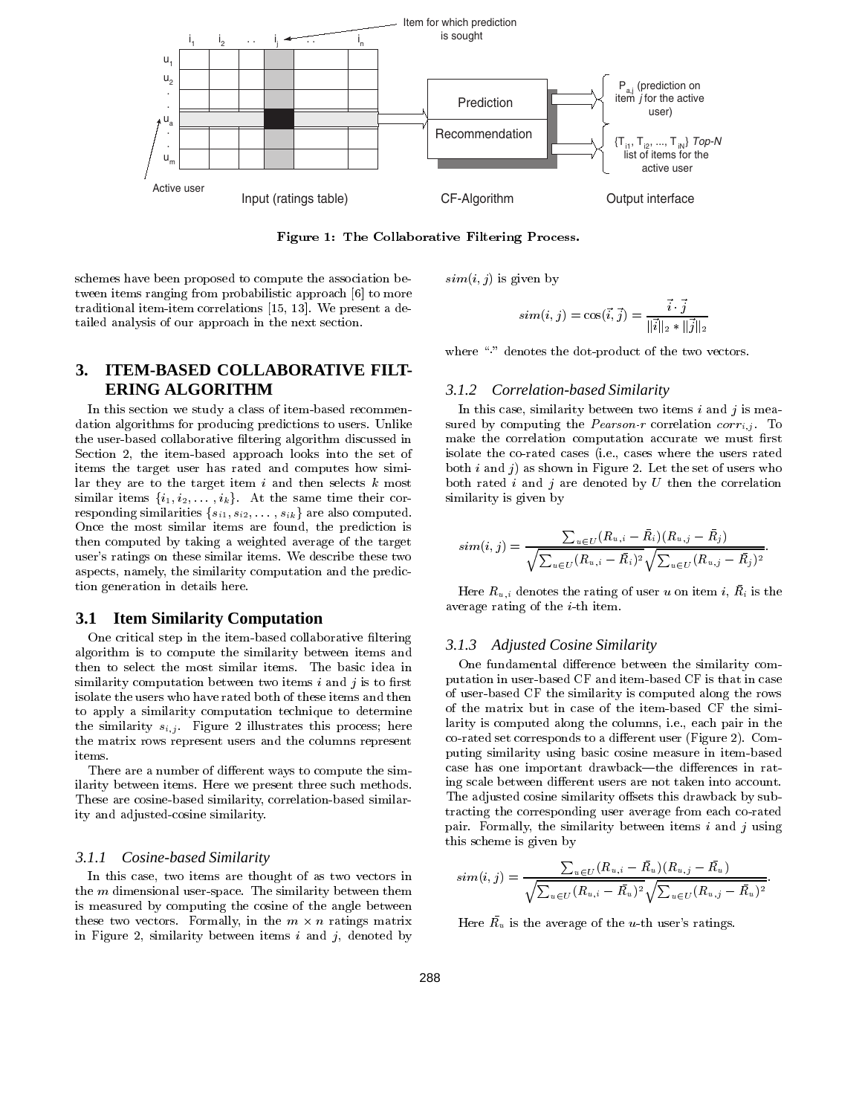

Figure 1: The Collaborative Filtering Process.

schemes have been proposed to compute the association between items ranging from probabilistic approach [6] to more traditional item-item correlations [15, 13]. We present a detailed analysis of our approach in the next section.

# **3. ITEM-BASED COLLABORATIVE FILT-ERING ALGORITHM**

In this section we study a class of item-based recommendation algorithms for producing predictions to users. Unlike the user-based collaborative filtering algorithm discussed in Section 2, the item-based approach looks into the set of items the target user has rated and computes how similar they are to the target item  $i$  and then selects  $k$  most similar items  $\{i_1, i_2, \ldots, i_k\}$ . At the same time their corresponding similarities  $\{s_{i1}, s_{i2}, \ldots, s_{ik}\}$  are also computed. Once the most similar items are found, the prediction is then computed by taking a weighted average of the target user's ratings on these similar items. We describe these two aspects, namely, the similarity computation and the prediction generation in details here.

# **3.1 Item Similarity Computation**

One critical step in the item-based collaborative filtering algorithm is to compute the similarity between items and then to select the most similar items. The basic idea in similarity computation between two items  $i$  and  $j$  is to first isolate the users who have rated both of these items and then to apply a similarity computation technique to determine the similarity  $s_{i,j}$ . Figure 2 illustrates this process; here the matrix rows represent users and the columns represent

There are a number of different ways to compute the similarity between items. Here we present three such methods. These are cosine-based similarity, correlation-based similarity and adjusted-cosine similarity.

#### *3.1.1 Cosine-based Similarity*

In this case, two items are thought of as two vectors in the  $m$  dimensional user-space. The similarity between them is measured by computing the cosine of the angle between these two vectors. Formally, in the m - n ratings matrix in Figure 2, similarity between items  $i$  and  $j$ , denoted by

 $sim(i, j)$  is given by

$$
sim(i,j) = \cos(\vec{i},\vec{j}) = \frac{\vec{i} \cdot \vec{j}}{\|\vec{i}\|_2 \ast \|\vec{j}\|_2}
$$

where "." denotes the dot-product of the two vectors.

#### *3.1.2 Correlation-based Similarity*

In this case, similarity between two items  $i$  and  $j$  is measured by computing the *Pearson-r* correlation  $corr_{i,j}$ . To make the correlation computation accurate we must first isolate the co-rated cases (i.e., cases where the users rated both *i* and *j*) as shown in Figure 2. Let the set of users who both rated i and j are denoted by  $U$  then the correlation similarity is given by

$$
sim(i,j) = \frac{\sum_{u \in U} (R_{u,i} - \bar{R_i}) (R_{u,j} - \bar{R_j})}{\sqrt{\sum_{u \in U} (R_{u,i} - \bar{R_i})^2} \sqrt{\sum_{u \in U} (R_{u,j} - \bar{R_j})^2}}.
$$

Here  $R_{u,i}$  denotes the rating of user u on item  $i, R_i$  is the average rating of the i-th item.

#### *3.1.3 Adjusted Cosine Similarity*

One fundamental difference between the similarity computation in user-based CF and item-based CF is that in case of user-based CF the similarity is computed along the rows of the matrix but in case of the item-based CF the similarity is computed along the columns, i.e., each pair in the co-rated set corresponds to a different user (Figure 2). Computing similarity using basic cosine measure in item-based case has one important drawback—the differences in rating scale between different users are not taken into account. The adjusted cosine similarity offsets this drawback by subtracting the corresponding user average from each co-rated pair. Formally, the similarity between items  $i$  and  $j$  using this scheme is given by

$$
sim(i,j) = \frac{\sum_{u \in U} (R_{u,i} - \bar{R_u})(R_{u,j} - \bar{R_u})}{\sqrt{\sum_{u \in U} (R_{u,i} - \bar{R_u})^2} \sqrt{\sum_{u \in U} (R_{u,j} - \bar{R_u})^2}}.
$$

Here  $R_u$  is the average of the u-th user's ratings.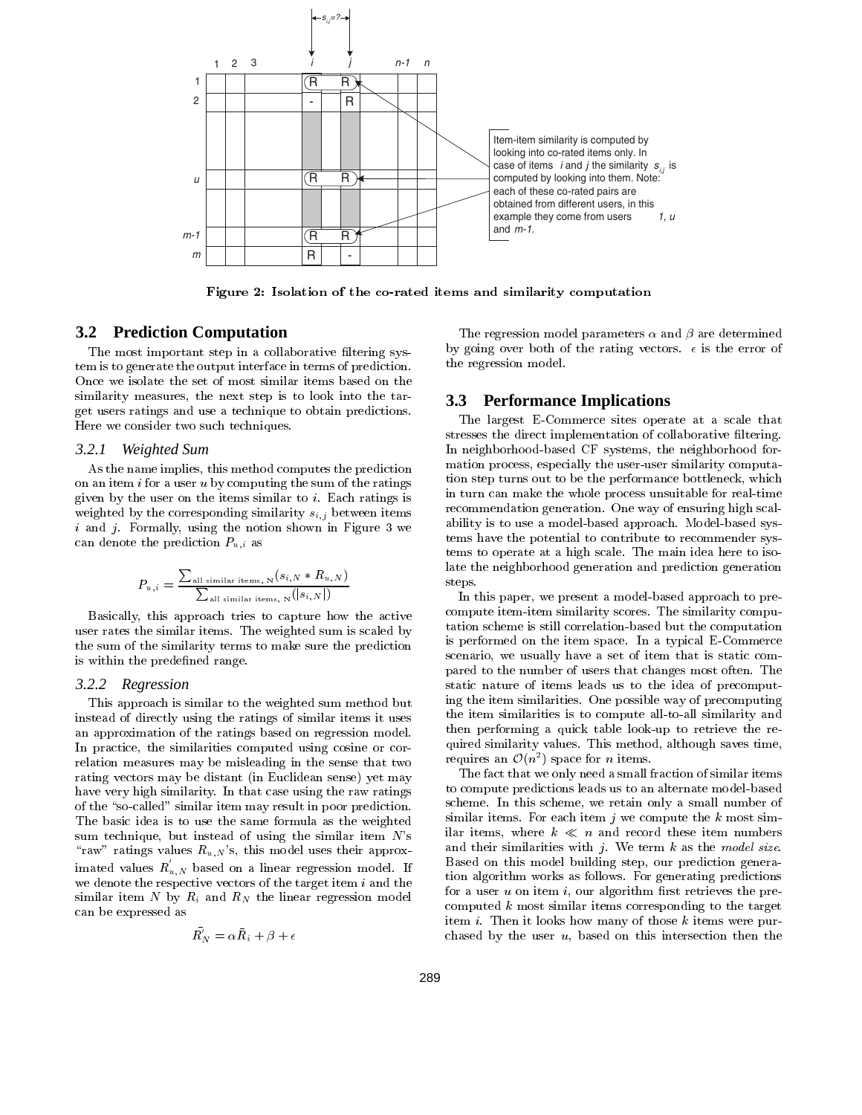

Figure 2: Isolation of the co-rated items and similarity computation

# **3.2 Prediction Computation**

The most important step in a collaborative filtering system is to generate the output interface in terms of prediction. Once we isolate the set of most similar items based on the similarity measures, the next step is to look into the target users ratings and use a technique to obtain predictions. Here we consider two such techniques.

#### *3.2.1 Weighted Sum*

As the name implies, this method computes the prediction on an item  $i$  for a user  $u$  by computing the sum of the ratings given by the user on the items similar to  $i$ . Each ratings is weighted by the corresponding similarity  $s_{i,j}$  between items  $i$  and  $j$ . Formally, using the notion shown in Figure 3 we can denote the prediction  $P_{u,i}$  as

$$
{P_{u,i}} = \frac{{\sum\nolimits_{\rm all\ similar\ items,\ N} {{\left( {{s_{i,N}}*{R_{u,N}}} \right)} } }}{{\sum\nolimits_{\rm all\ similar\ items,\ N} { {\left( {{\left| {{s_{i,N}}} \right|} \right)} } } }}
$$

Basically, this approach tries to capture how the active user rates the similar items. The weighted sum is scaled by the sum of the similarity terms to make sure the prediction is within the predefined range.

#### *3.2.2 Regression*

This approach is similar to the weighted sum method but instead of directly using the ratings of similar items it uses an approximation of the ratings based on regression model. In practice, the similarities computed using cosine or cor relation measures may be misleading in the sense that two rating vectors may be distant (in Euclidean sense) yet may have very high similarity. In that case using the raw ratings of the "so-called" similar item may result in poor prediction. The basic idea is to use the same formula as the weighted sum technique, but instead of using the similar item  $N$ 's " $\rm{raw"}$  ratings values  $R_{u,N}$ 's, this model uses their approximated values  $R_{u,N}$  based on a linear regression model. If we denote the respective vectors of the target item  $i$  and the similar item  $N$  by  $R_i$  and  $R_N$  the linear regression model can be expressed as

$$
\bar{R_N^{'}} = \alpha \bar{R}_i + \beta + \epsilon
$$

The regression model parameters  $\alpha$  and  $\beta$  are determined by going over both of the rating vectors.  $\epsilon$  is the error of the regression model.

# **3.3 Performance Implications**

The largest E-Commerce sites operate at a scale that stresses the direct implementation of collaborative filtering. In neighborhood-based CF systems, the neighborhood formation process, especially the user-user similarity computation step turns out to be the performance bottleneck, which in turn can make the whole process unsuitable for real-time recommendation generation. One way of ensuring high scalability is to use a model-based approach. Model-based systems have the potential to contribute to recommender systems to operate at a high scale. The main idea here to isolate the neighborhood generation and prediction generation steps.

In this paper, we present a model-based approach to precompute item-item similarity scores. The similarity computation scheme is still correlation-based but the computation is performed on the item space. In a typical E-Commerce scenario, we usually have a set of item that is static com pared to the number of users that changes most often. The static nature of items leads us to the idea of precomputing the item similarities. One possible way of precomputing the item similarities is to compute all-to-all similarity and then performing a quick table look-up to retrieve the re quired similarity values. This method, although saves time, requires an  $\mathcal{O}(n^-)$  space for n items.

The fact that we only need a small fraction of similar items to compute predictions leads us to an alternate model-based scheme. In this scheme, we retain only a small number of similar items. For each item  $i$  we compute the k most similar items, where  $k \ll n$  and record these item numbers and their similarities with  $j$ . We term  $k$  as the model size. Based on this model building step, our prediction generation algorithm works as follows. For generating predictions for a user  $u$  on item  $i$ , our algorithm first retrieves the precomputed  $k$  most similar items corresponding to the target item  $i$ . Then it looks how many of those  $k$  items were purchased by the user  $u$ , based on this intersection then the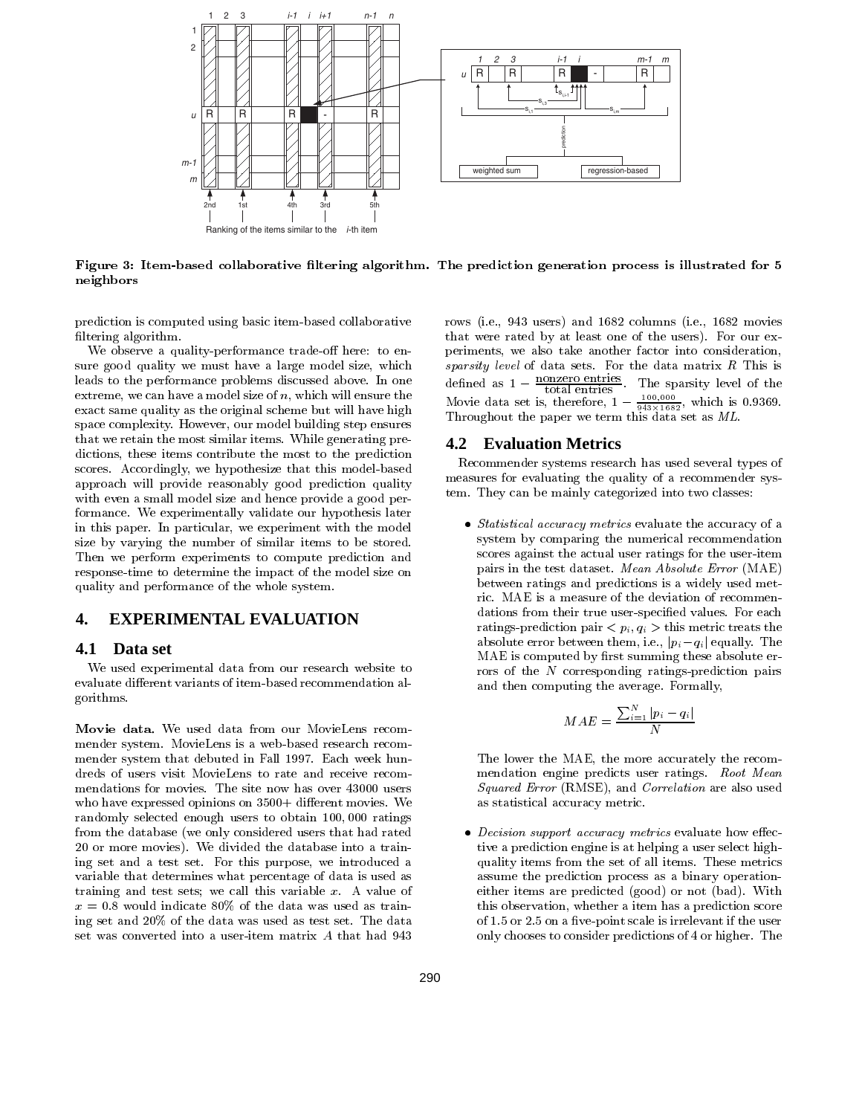

Figure 3: Item-based collaborative filtering algorithm. The prediction generation process is illustrated for 5 neighbors

prediction is computed using basic item-based collaborative filtering algorithm.

We observe a quality-performance trade-off here: to ensure good quality we must have a large model size, which leads to the performance problems discussed above. In one extreme, we can have a model size of  $n$ , which will ensure the exact same quality as the original scheme but will have high space complexity. However, our model building step ensures that we retain the most similar items. While generating predictions, these items contribute the most to the prediction scores. Accordingly, we hypothesize that this model-based approach will provide reasonably good prediction quality with even a small model size and hence provide a good performance. We experimentally validate our hypothesis later in this paper. In particular, we experiment with the model size by varying the number of similar items to be stored. Then we perform experiments to compute prediction and response-time to determine the impact of the model size on quality and performance of the whole system.

# **4. EXPERIMENTAL EVALUATION**

#### **4.1 Data set**

We used experimental data from our research website to evaluate different variants of item-based recommendation algorithms.

Movie data*.* We used data from our MovieLens recom mender system. MovieLens is a web-based research recommender system that debuted in Fall 1997. Each week hun dreds of users visit MovieLens to rate and receive recommendations for movies. The site now has over 43000 users who have expressed opinions on  $3500+$  different movies. We randomly selected enough users to obtain 100; 000 ratings from the database (we only considered users that had rated 20 or more movies). We divided the database into a training set and a test set. For this purpose, we introduced a variable that determines what percentage of data is used as training and test sets; we call this variable  $x$ . A value of  $x = 0.8$  would indicate 80% of the data was used as training set and 20% of the data was used as test set. The data set was converted into a user-item matrix A that had 943

rows (i.e., 943 users) and 1682 columns (i.e., 1682 movies that were rated by at least one of the users). For our ex periments, we also take another factor into consideration, sparsity level of data sets. For the data matrix  $R$  This is defined as  $1 - \frac{total entries}{total entries}$ . The sparsity level of the Movie data set is, therefore,  $1 - \frac{1}{943 \times 1682}$ , which is 0.9369. The paper we term paper we the set as ML. This data set as ML.

## **4.2 Evaluation Metrics**

Recommender systems research has used several types of measures for evaluating the quality of a recommender system. They can be mainly categorized into two classes:

• *Statistical accuracy metrics* evaluate the accuracy of a system by comparing the numerical recommendation scores against the actual user ratings for the user-item pairs in the test dataset. Mean Absolute Error (MAE) between ratings and predictions is a widely used metric. MAE is a measure of the deviation of recommendations from their true user-specied values. For each ratings-prediction pair  $\langle p_i, q_i \rangle$  this metric treats the absolute error between them, i.e.,  $|p_i - q_i|$  equally. The MAE is computed by first summing these absolute errors of the N corresponding ratings-prediction pairs and then computing the average. Formally,

$$
MAE = \frac{\sum_{i=1}^{N} |p_i - q_i|}{N}
$$

The lower the MAE, the more accurately the recommendation engine predicts user ratings. Root Mean Squared Error (RMSE), and Correlation are also used as statistical accuracy metric.

 $\bullet$  *Decision support accuracy metrics* evaluate how effective a prediction engine is at helping a user select highquality items from the set of all items. These metrics assume the prediction process as a binary operationeither items are predicted (good) or not (bad). With this observation, whether a item has a prediction score of  $1.5$  or  $2.5$  on a five-point scale is irrelevant if the user only chooses to consider predictions of 4 or higher. The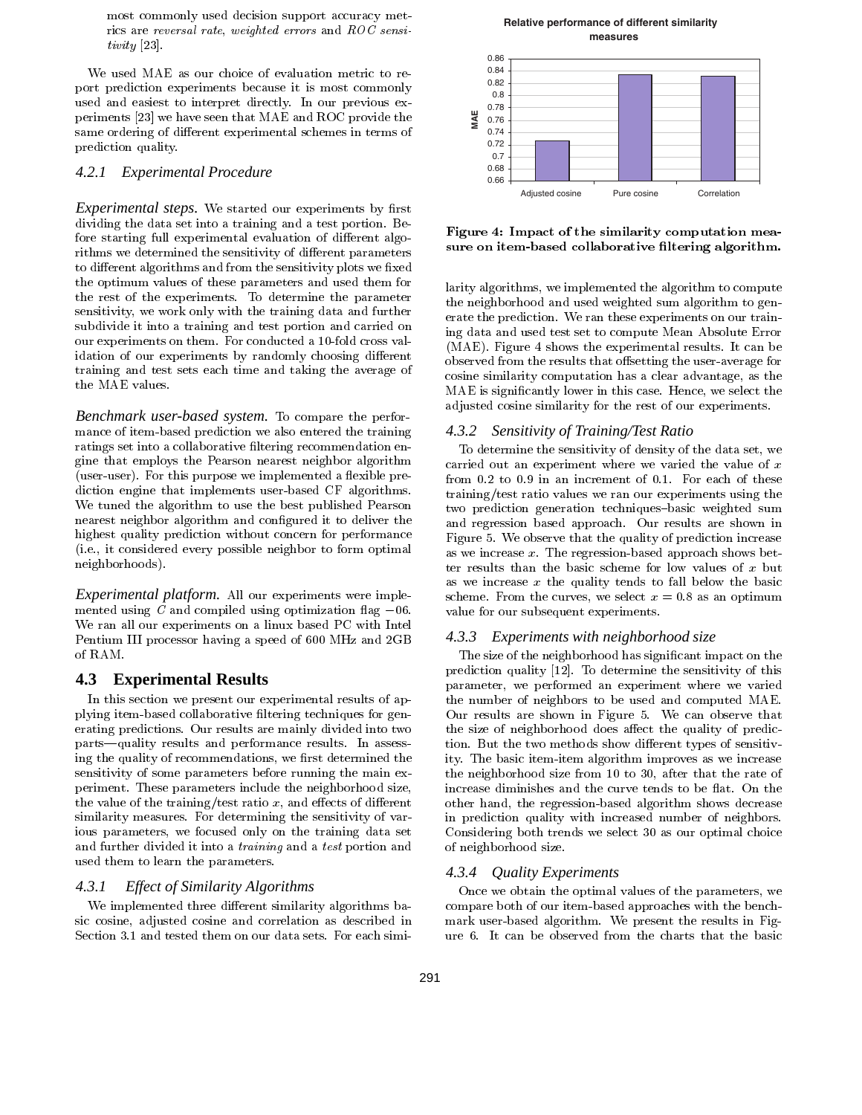most commonly used decision support accuracy metrics are reversal rate, weighted errors and ROC sensitivity [23].

We used MAE as our choice of evaluation metric to report prediction experiments because it is most commonly used and easiest to interpret directly. In our previous experiments [23] we have seen that MAE and ROC provide the same ordering of different experimental schemes in terms of prediction quality.

#### *4.2.1 Experimental Procedure*

*Experimental steps.* We started our experiments by first dividing the data set into a training and a test portion. Before starting full experimental evaluation of different algorithms we determined the sensitivity of different parameters to different algorithms and from the sensitivity plots we fixed the optimum values of these parameters and used them for the rest of the experiments. To determine the parameter sensitivity, we work only with the training data and further subdivide it into a training and test portion and carried on our experiments on them. For conducted a 10-fold cross validation of our experiments by randomly choosing different training and test sets each time and taking the average of the MAE values.

*Benchmark user-based system.* To compare the performance of item-based prediction we also entered the training 4.3.2 ratings set into a collaborative filtering recommendation engine that employs the Pearson nearest neighbor algorithm (user-user). For this purpose we implemented a flexible prediction engine that implements user-based CF algorithms. We tuned the algorithm to use the best published Pearson nearest neighbor algorithm and configured it to deliver the highest quality prediction without concern for performance (i.e., it considered every possible neighbor to form optimal neighborhoods).

*Experimental platform.* All our experiments were imple mented using  $C$  and compiled using optimization flag  $-06$ . We ran all our experiments on a linux based PC with Intel Pentium III processor having a speed of 600 MHz and 2GB of RAM.

# **4.3 Experimental Results**

In this section we present our experimental results of applying item-based collaborative ltering techniques for generating predictions. Our results are mainly divided into two parts-quality results and performance results. In assessing the quality of recommendations, we first determined the sensitivity of some parameters before running the main experiment. These parameters include the neighborhood size, the value of the training/test ratio  $x$ , and effects of different similarity measures. For determining the sensitivity of various parameters, we focused only on the training data set and further divided it into a *training* and a test portion and used them to learn the parameters.

#### *4.3.1 Effect of Similarity Algorithms*

We implemented three different similarity algorithms basic cosine, adjusted cosine and correlation as described in Section 3.1 and tested them on our data sets. For each simi-

#### **Relative performance of different similarity measures**



Figure 4: Impact of the similarity computation measure on item-based collaborative filtering algorithm.

larity algorithms, we implemented the algorithm to compute the neighborhood and used weighted sum algorithm to generate the prediction. We ran these experiments on our training data and used test set to compute Mean Absolute Error (MAE). Figure 4 shows the experimental results. It can be observed from the results that offsetting the user-average for cosine similarity computation has a clear advantage, as the MAE is signicantly lower in this case. Hence, we select the adjusted cosine similarity for the rest of our experiments.

#### *4.3.2 Sensitivity of Training/Test Ratio*

To determine the sensitivity of density of the data set, we carried out an experiment where we varied the value of x from 0:2 to 0:9 in an increment of 0:1. For each of these training/test ratio values we ran our experiments using the two prediction generation techniques-basic weighted sum and regression based approach. Our results are shown in Figure 5. We observe that the quality of prediction increase as we increase x. The regression-based approach shows better results than the basic scheme for low values of  $x$  but as we increase x the quality tends to fall below the basic scheme. From the curves, we select  $x = 0.8$  as an optimum value for our subsequent experiments.

#### *4.3.3 Experiments with neighborhood size*

The size of the neighborhood has signicant impact on the prediction quality [12]. To determine the sensitivity of this parameter, we performed an experiment where we varied the number of neighbors to be used and computed MAE. Our results are shown in Figure 5.We can observe that the size of neighborhood does affect the quality of prediction. But the two methods show different types of sensitivity. The basic item-item algorithm improves as we increase the neighborhood size from 10 to 30, after that the rate of increase diminishes and the curve tends to be flat. On the other hand, the regression-based algorithm shows decrease in prediction quality with increased number of neighbors. Considering both trends we select 30 as our optimal choice of neighborhood size.

#### *4.3.4 Quality Experiments*

Once we obtain the optimal values of the parameters, we compare both of our item-based approaches with the benchmark user-based algorithm. We present the results in Fig ure 6. It can be observed from the charts that the basic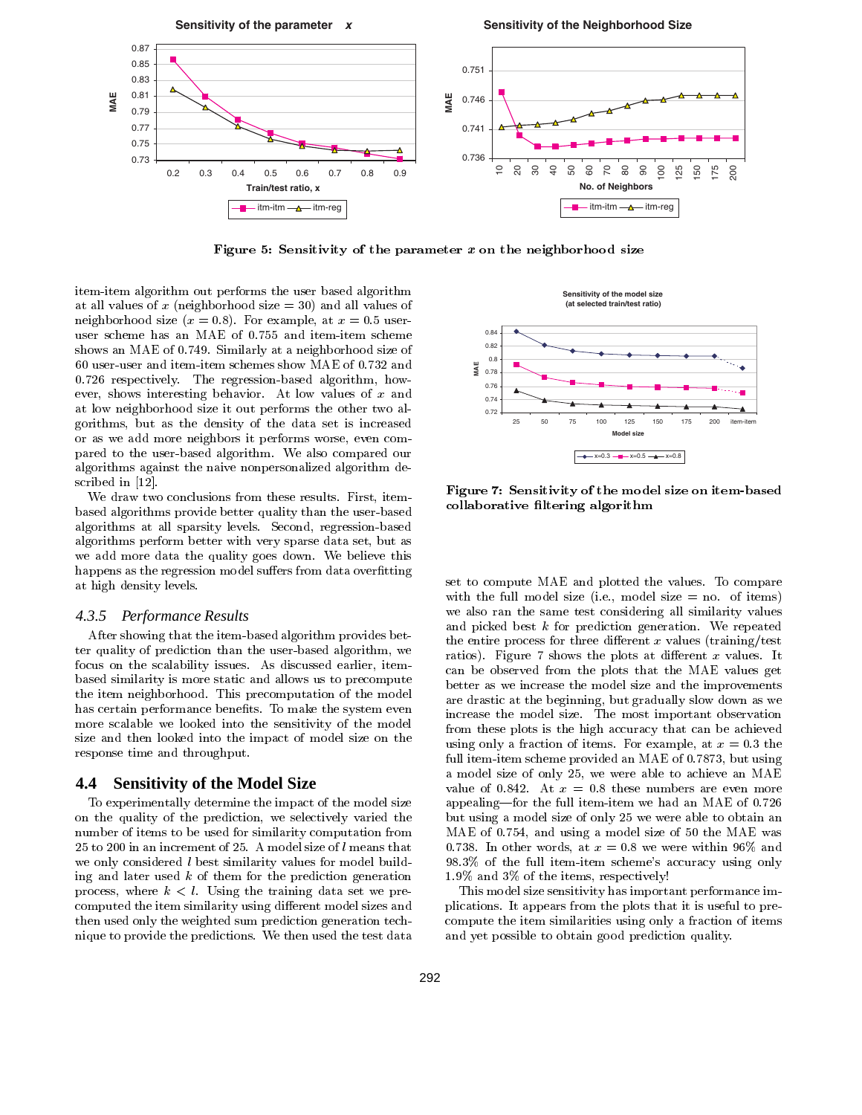

Figure 5: Sensitivity of the parameter  $x$  on the neighborhood size

 $0.82$ 0.84

**MAE**

item-item algorithm out performs the user based algorithm at all values of x (neighborhood size  $=$  30) and all values of neighborhood size  $(x = 0.8)$ . For example, at  $x = 0.5$  useruser scheme has an MAE of 0:755 and item-item scheme shows an MAE of 0:749. Similarly at a neighborhood size of 60 user-user and item-item schemes show MAE of 0:732 and 0:726 respectively. The regression-based algorithm, how ever, shows interesting behavior. At low values of  $x$  and at low neighborhood size it out performs the other two algorithms, but as the density of the data set is increased or as we add more neighbors it performs worse, even com pared to the user-based algorithm. We also compared our algorithms against the naive nonpersonalized algorithm described in [12].

We draw two conclusions from these results. First, itembased algorithms provide better quality than the user-based algorithms at all sparsity levels. Second, regression-based algorithms perform better with very sparse data set, but as we add more data the quality goes down. We believe this happens as the regression model suffers from data overfitting at high density levels.

#### *4.3.5 Performance Results*

After showing that the item-based algorithm provides better quality of prediction than the user-based algorithm, we focus on the scalability issues. As discussed earlier, itembased similarity is more static and allows us to precompute the item neighborhood. This precomputation of the model has certain performance benefits. To make the system even more scalable we looked into the sensitivity of the model size and then looked into the impact of model size on the response time and throughput.

# **4.4 Sensitivity of the Model Size**

To experimentally determine the impact of the model size on the quality of the prediction, we selectively varied the number of items to be used for similarity computation from  $25$  to  $200$  in an increment of  $25$ . A model size of  $l$  means that we only considered *l* best similarity values for model building and later used  $k$  of them for the prediction generation process, where  $k < l$ . Using the training data set we precomputed the item similarity using different model sizes and then used only the weighted sum prediction generation technique to provide the predictions. We then used the test data

**(at selected train/test ratio)**

**Sensitivity of the model size**



Figure 7: Sensitivity of the model size on item-based collaborative ltering algorithm

set to compute MAE and plotted the values. To compare with the full model size (i.e., model size  $=$  no. of items) we also ran the same test considering all similarity values and picked best k for prediction generation. We repeated the entire process for three different  $x$  values (training/test ratios). Figure 7 shows the plots at different  $x$  values. It can be observed from the plots that the MAE values get better as we increase the model size and the improvements are drastic at the beginning, but gradually slow down as we increase the model size. The most important observation from these plots is the high accuracy that can be achieved using only a fraction of items. For example, at  $x = 0.3$  the full item-item scheme provided an MAE of 0:7873, but using a model size of only 25, we were able to achieve an MAE value of 0.842. At  $x = 0.8$  these numbers are even more appealing-for the full item-item we had an MAE of 0.726 but using a model size of only 25 we were able to obtain an MAE of 0:754, and using a model size of 50 the MAE was 0.738. In other words, at  $x = 0.8$  we were within 96% and 98:3% of the full item-item scheme's accuracy using only 1:9% and 3% of the items, respectively!

This model size sensitivity has important performance implications. It appears from the plots that it is useful to precompute the item similarities using only a fraction of items and yet possible to obtain good prediction quality.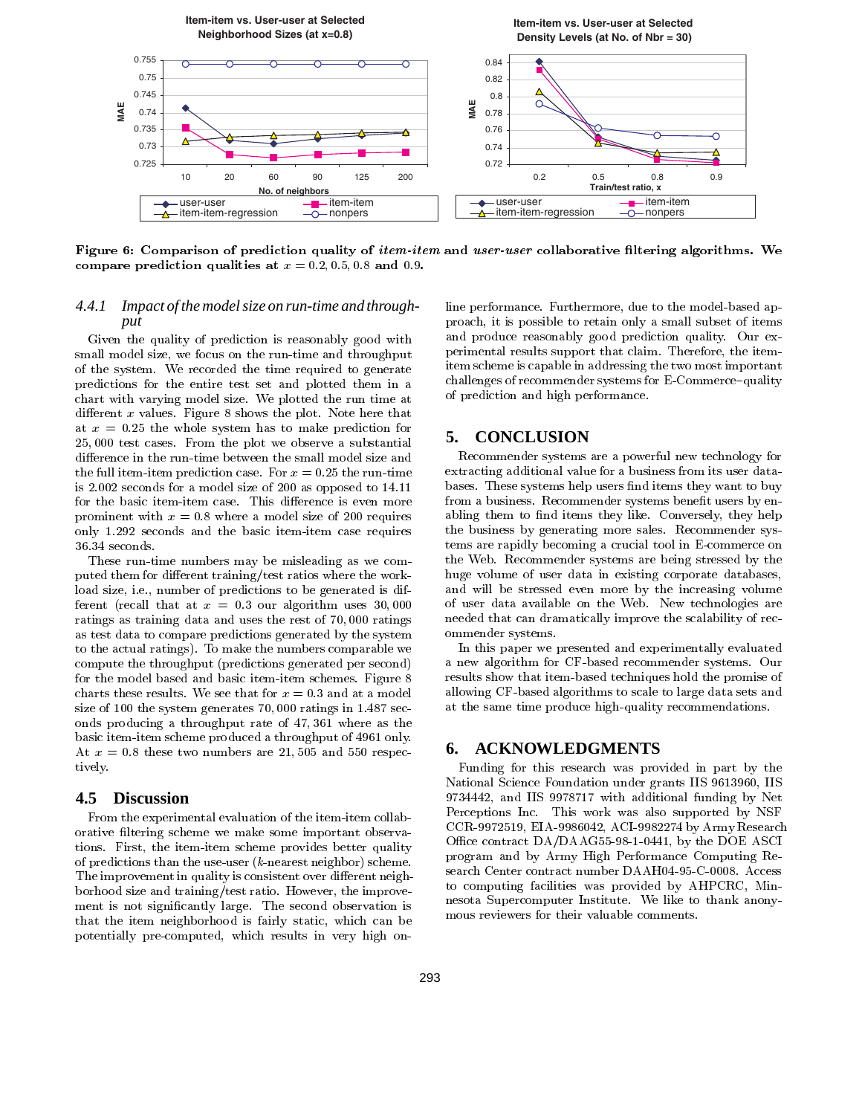

Figure 6: Comparison of prediction quality of *item-item* and user-user collaborative filtering algorithms. We compare prediction qualities at  $x = 0.2, 0.5, 0.8$  and 0.9.

# *4.4.1 Impact of the model size on run-time and throughput*

Given the quality of prediction is reasonably good with small model size, we focus on the run-time and throughput of the system. We recorded the time required to generate predictions for the entire test set and plotted them in a chart with varying model size. We plotted the run time at different  $x$  values. Figure 8 shows the plot. Note here that at  $x = 0.25$  the whole system has to make prediction for  $\overline{5}$ . 25; 000 test cases. From the plot we observe a substantial difference in the run-time between the small model size and the full item-item prediction case. For  $x = 0.25$  the run-time is 2:002 seconds for a model size of 200 as opposed to 14:11 for the basic item-item case. This difference is even more prominent with  $x = 0.8$  where a model size of 200 requires only 1:292 seconds and the basic item-item case requires  $36.34$  seconds.

These run-time numbers may be misleading as we com puted them for different training/test ratios where the workload size, i.e., number of predictions to be generated is different (recall that at  $x = 0.3$  our algorithm uses 30,000 ratings as training data and uses the rest of 70; 000 ratings as test data to compare predictions generated by the system to the actual ratings). To make the numbers comparable we compute the throughput (predictions generated per second) for the model based and basic item-item schemes. Figure 8 charts these results. We see that for  $x = 0.3$  and at a model size of 100 the system generates 70; 000 ratings in 1:487 seconds producing a throughput rate of 47; 361 where as the basic item-item scheme produced a throughput of 4961 only. At  $x = 0.8$  these two numbers are 21,505 and 550 respectively.

#### **4.5 Discussion**

From the experimental evaluation of the item-item collaborative ltering scheme we make some important observa tions. First, the item-item scheme provides better quality of predictions than the use-user (k-nearest neighbor) scheme. The improvement in quality is consistent over different neighborhood size and training/test ratio. However, the improve ment is not signicantly large. The second observation is that the item neighborhood is fairly static, which can be potentially pre-computed, which results in very high online performance. Furthermore, due to the model-based approach, it is possible to retain only a small subset of items and produce reasonably good prediction quality. Our ex perimental results support that claim. Therefore, the itemitem scheme is capable in addressing the two most important challenges of recommender systems for E-Commerce-quality of prediction and high performance.

# **5. CONCLUSION**

Recommender systems are a powerful new technology for extracting additional value for a business from its user databases. These systems help users find items they want to buy from a business. Recommender systems benefit users by enabling them to find items they like. Conversely, they help the business by generating more sales. Recommender systems are rapidly becoming a crucial tool in E-commerce on the Web. Recommender systems are being stressed by the huge volume of user data in existing corporate databases, and will be stressed even more by the increasing volume of user data available on the Web. New technologies are needed that can dramatically improve the scalability of recommender systems.

In this paper we presented and experimentally evaluated a new algorithm for CF-based recommender systems. Our results show that item-based techniques hold the promise of allowing CF-based algorithms to scale to large data sets and at the same time produce high-quality recommendations.

# **6. ACKNOWLEDGMENTS**

Funding for this research was provided in part by the National Science Foundation under grants IIS 9613960, IIS 9734442, and IIS 9978717 with additional funding by Net Perceptions Inc. This work was also supported by NSF CCR-9972519, EIA-9986042, ACI-9982274 by Army Research Office contract  $DA/DAAG55-98-1-0441$ , by the DOE ASCI program andby Army High Performance Computing Re search Center contract number DAAH04-95-C-0008. Access to computing facilities was provided by AHPCRC, Minnesota Supercomputer Institute. We like to thank anonymous reviewers for their valuable comments.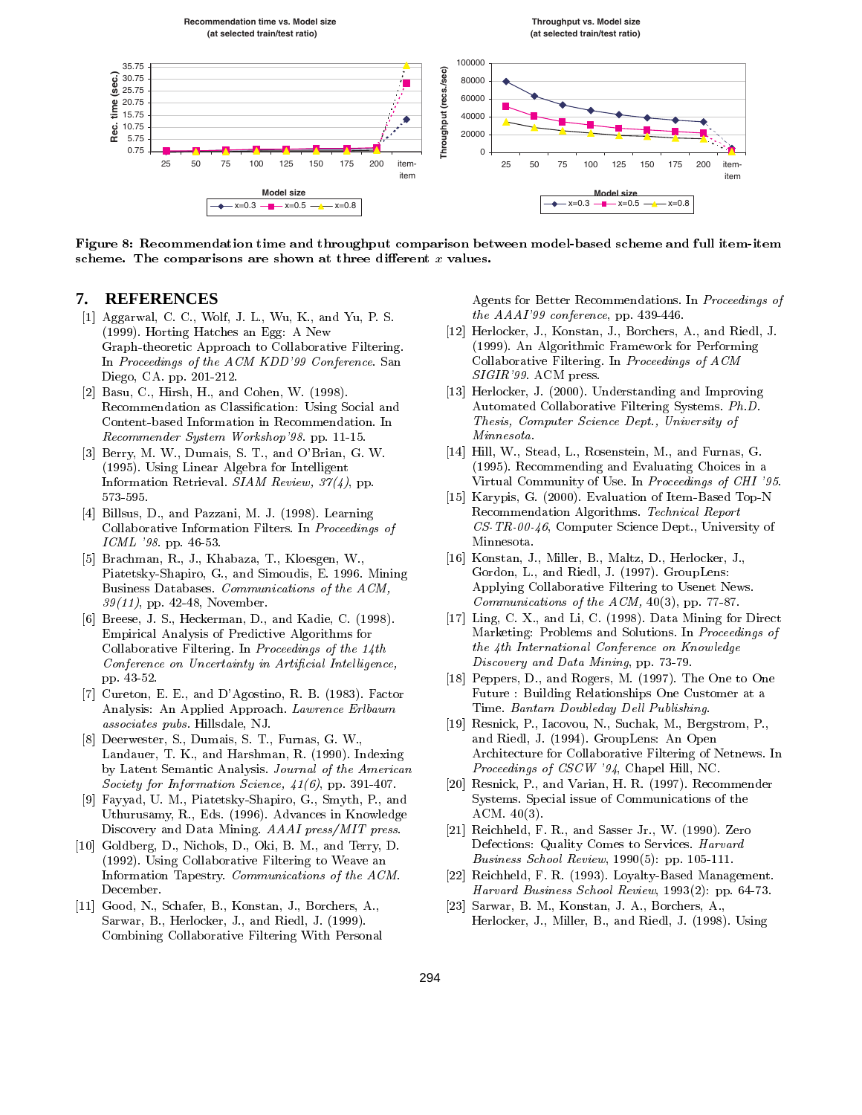

Figure 8: Recommendation time and throughput comparison between model-based scheme and full item-item scheme. The comparisons are shown at three different  $x$  values.

# **7. REFERENCES**

- [1] Aggarwal, C. C., Wolf, J. L., Wu, K., and Yu, P. S. (1999). Horting Hatches an Egg: A New Graph-theoretic Approach to Collaborative Filtering. In Proceedings of the ACM KDD'99 Conference. San Diego, CA. pp. 201-212.
- [2] Basu, C., Hirsh, H., and Cohen, W. (1998). Recommendation as Classication: Using Social and Content-based Information in Recommendation. In Recommender System Workshop'98. pp. 11-15.
- [3] Berry, M. W., Dumais, S. T., and O'Brian, G. W. (1995). Using Linear Algebra for Intelligent Information Retrieval. SIAM Review, 37(4), pp.
- [4] Billsus, D., and Pazzani, M. J. (1998). Learning Collaborative Information Filters. In Proceedings of ICML '98. pp. 46-53.
- [5] Brachman, R., J., Khabaza, T., Kloesgen, W., Piatetsky-Shapiro, G., and Simoudis, E. 1996. Mining Business Databases. Communications of the ACM,  $39(11)$ , pp. 42-48, November.
- [6] Breese, J. S., Heckerman, D., and Kadie, C. (1998). Empirical Analysis of Predictive Algorithms for Collaborative Filtering. In Proceedings of the 14th Conference on Uncertainty in Artificial Intelligence, pp. 43-52.
- [7] Cureton, E. E., and D'Agostino, R. B. (1983). Factor Analysis: An Applied Approach. Lawrence Erlbaum associates pubs. Hillsdale, NJ.
- [8] Deerwester, S., Dumais, S. T., Furnas, G. W., Landauer, T. K., and Harshman, R. (1990). Indexing by Latent Semantic Analysis. Journal of the American Society for Information Science,  $41(6)$ , pp. 391-407.
- [9] Fayyad, U. M., Piatetsky-Shapiro, G., Smyth, P., and Uthurusamy, R., Eds. (1996). Advances in Knowledge Discovery and Data Mining. AAAI press/MIT press.
- [10] Goldberg, D., Nichols, D., Oki, B. M., and Terry, D. (1992). Using Collaborative Filtering to Weave an Information Tapestry. Communications of the ACM. December.
- [11] Good, N., Schafer, B., Konstan, J., Borchers, A., Sarwar, B., Herlocker, J., and Riedl, J. (1999). Combining Collaborative Filtering With Personal

Agents for Better Recommendations. In Proceedings of the AAAI'99 conference, pp. 439-446.

- [12] Herlocker, J., Konstan, J., Borchers, A., and Riedl, J. (1999). An Algorithmic Framework for Performing Collaborative Filtering. In Proceedings of ACM SIGIR'99. ACM press.
- [13] Herlocker, J. (2000). Understanding and Improving Automated Collaborative Filtering Systems. Ph.D. Thesis, Computer Science Dept., University of Minnesota.
- [14] Hill, W., Stead, L., Rosenstein, M., and Furnas, G. (1995). Recommending and Evaluating Choices in a Virtual Community of Use. In Proceedings of CHI '95.
- [15] Karypis, G. (2000). Evaluation of Item-Based Top-N Recommendation Algorithms. Technical Report CS-TR-00-46, Computer Science Dept., University of Minnesota.
- [16] Konstan, J., Miller, B., Maltz, D., Herlocker, J., Gordon, L., and Riedl, J. (1997). GroupLens: Applying Collaborative Filtering to Usenet News. Communications of the ACM, 40(3), pp. 77-87.
- [17] Ling, C. X., and Li, C. (1998). Data Mining for Direct Marketing: Problems and Solutions. In Proceedings of the 4th International Conference on Know ledge Discovery and Data Mining, pp. 73-79.
- [18] Peppers, D., and Rogers, M. (1997). The One to One Future : Building Relationships One Customer at a Time. Bantam Doubleday Dell Publishing.
- [19] Resnick, P., Iacovou, N., Suchak, M., Bergstrom, P., and Riedl, J. (1994). GroupLens: An Open Architecture for Collaborative Filtering of Netnews. In Proceedings of CSCW '94, Chapel Hill, NC.
- [20] Resnick, P., and Varian, H. R. (1997). Recommender Systems. Special issue of Communications of the ACM. 40(3).
- [21] Reichheld, F. R., and Sasser Jr., W. (1990). Zero Defections: Quality Comes to Services. Harvard Business School Review, 1990(5): pp. 105-111.
- Reichheld, F. R. (1993). Loyalty-Based Management.  $\left\lceil 22\right\rceil$ Harvard Business School Review, 1993(2): pp. 64-73.
- [23] Sarwar, B. M., Konstan, J. A., Borchers, A., Herlocker, J., Miller, B., and Riedl, J. (1998). Using